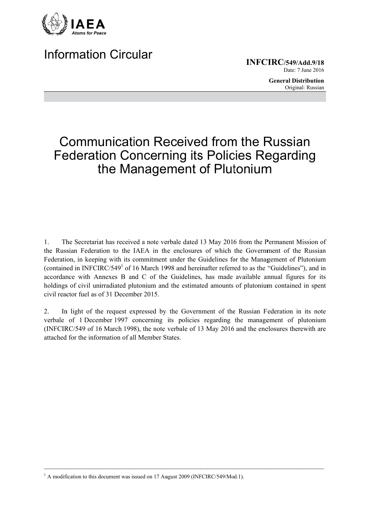

## **Information Circular**

**INFCIRC/549/Add.9/18** Date: 7 June 2016

> **General Distribution** Original: Russian

## **Communication Received from the Russian Federation Concerning its Policies Regarding** the Management of Plutonium

 $1.$ The Secretariat has received a note verbale dated 13 May 2016 from the Permanent Mission of the Russian Federation to the IAEA in the enclosures of which the Government of the Russian Federation, in keeping with its commitment under the Guidelines for the Management of Plutonium (contained in INFCIRC/549<sup>1</sup> of 16 March 1998 and hereinafter referred to as the "Guidelines"), and in accordance with Annexes B and C of the Guidelines, has made available annual figures for its holdings of civil unirradiated plutonium and the estimated amounts of plutonium contained in spent civil reactor fuel as of 31 December 2015.

In light of the request expressed by the Government of the Russian Federation in its note  $\overline{2}$ . verbale of 1 December 1997 concerning its policies regarding the management of plutonium (INFCIRC/549 of 16 March 1998), the note verbale of 13 May 2016 and the enclosures therewith are attached for the information of all Member States.

 $1$  A modification to this document was issued on 17 August 2009 (INFCIRC/549/Mod.1).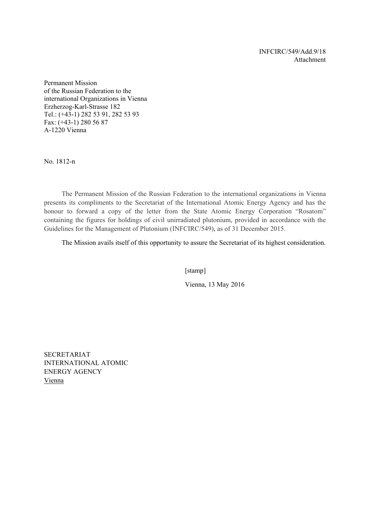INFCIRC/549/Add.9/18 Attachment

**Permanent Mission** of the Russian Federation to the international Organizations in Vienna Erzherzog-Karl-Strasse 182 Tel.: (+43-1) 282 53 91, 282 53 93 Fax:  $(+43-1)$  280 56 87 A-1220 Vienna

No. 1812-n

The Permanent Mission of the Russian Federation to the international organizations in Vienna presents its compliments to the Secretariat of the International Atomic Energy Agency and has the honour to forward a copy of the letter from the State Atomic Energy Corporation "Rosatom" containing the figures for holdings of civil unirradiated plutonium, provided in accordance with the Guidelines for the Management of Plutonium (INFCIRC/549), as of 31 December 2015.

The Mission avails itself of this opportunity to assure the Secretariat of its highest consideration.

[stamp]

Vienna, 13 May 2016

**SECRETARIAT INTERNATIONAL ATOMIC ENERGY AGENCY** Vienna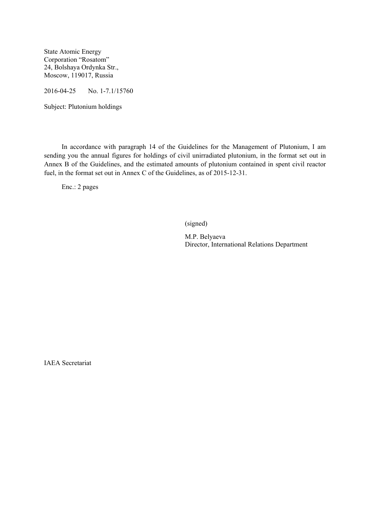State Atomic Energy Corporation "Rosatom" 24, Bolshaya Ordynka Str., Moscow, 119017, Russia

2016-04-25 No. 1-7.1/15760

Subject: Plutonium holdings

 In accordance with paragraph 14 of the Guidelines for the Management of Plutonium, I am sending you the annual figures for holdings of civil unirradiated plutonium, in the format set out in Annex B of the Guidelines, and the estimated amounts of plutonium contained in spent civil reactor fuel, in the format set out in Annex C of the Guidelines, as of 2015-12-31.

Enc.: 2 pages

(signed)

M.P. Belyaeva Director, International Relations Department

IAEA Secretariat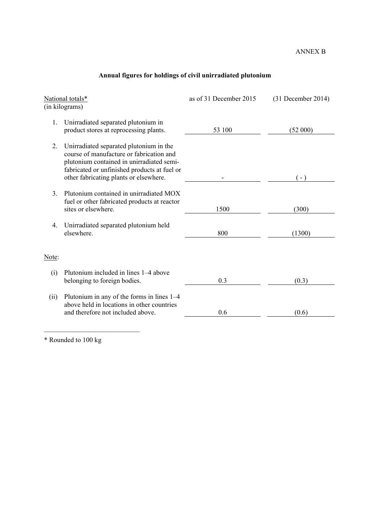## ANNEX B

|  |  | Annual figures for holdings of civil unirradiated plutonium |  |
|--|--|-------------------------------------------------------------|--|
|  |  |                                                             |  |

| National totals*<br>(in kilograms) |                                                                                                                                                                                                                            | as of 31 December 2015 | $(31$ December 2014) |
|------------------------------------|----------------------------------------------------------------------------------------------------------------------------------------------------------------------------------------------------------------------------|------------------------|----------------------|
| 1.                                 | Unirradiated separated plutonium in<br>product stores at reprocessing plants.                                                                                                                                              | 53 100                 | (52 000)             |
| 2.                                 | Unirradiated separated plutonium in the<br>course of manufacture or fabrication and<br>plutonium contained in unirradiated semi-<br>fabricated or unfinished products at fuel or<br>other fabricating plants or elsewhere. |                        | $(-)$                |
| $\mathcal{E}$                      | Plutonium contained in unirradiated MOX<br>fuel or other fabricated products at reactor<br>sites or elsewhere.                                                                                                             | 1500                   | (300)                |
| 4.                                 | Unirradiated separated plutonium held<br>elsewhere.                                                                                                                                                                        | 800                    | (1300)               |
| Note:                              |                                                                                                                                                                                                                            |                        |                      |
| (i)                                | Plutonium included in lines 1–4 above<br>belonging to foreign bodies.                                                                                                                                                      | 0.3                    | (0.3)                |
| (ii)                               | Plutonium in any of the forms in lines 1–4<br>above held in locations in other countries<br>and therefore not included above.                                                                                              | 0.6                    | (0.6)                |

\* Rounded to 100 kg

 $\mathcal{L}_\text{max}$